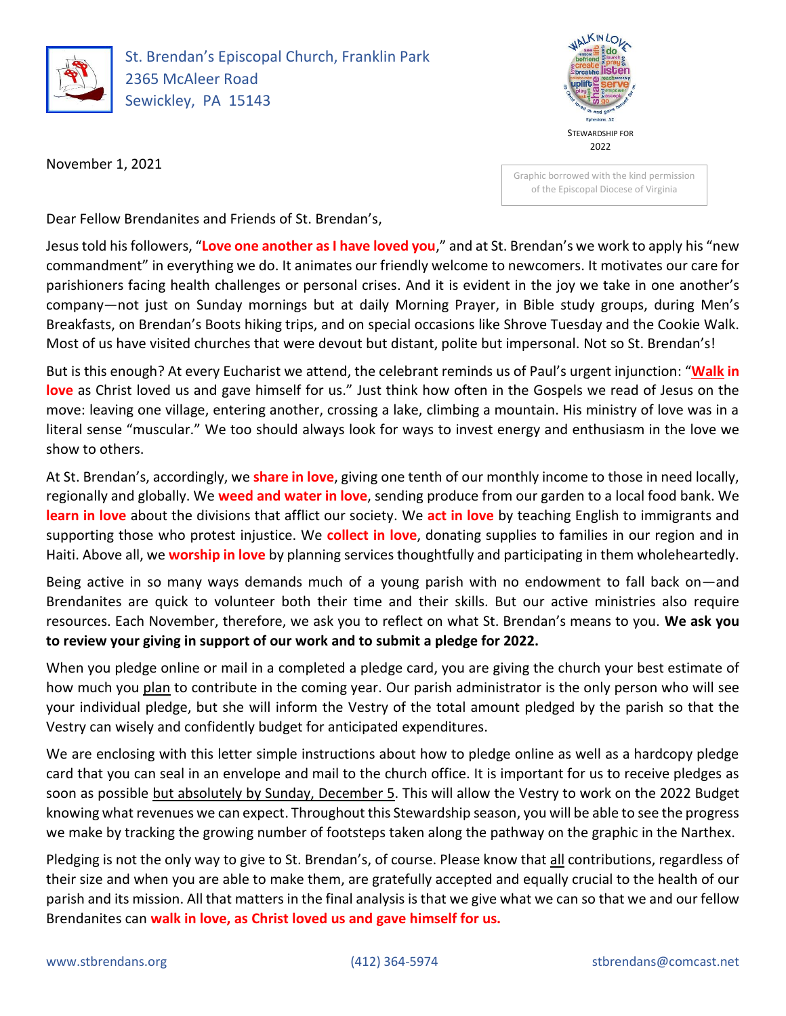

St. Brendan's Episcopal Church, Franklin Park 2365 McAleer Road Sewickley, PA 15143



November 1, 2021

Graphic borrowed with the kind permission of the Episcopal Diocese of Virginia

Dear Fellow Brendanites and Friends of St. Brendan's,

Jesus told his followers, "**Love one another as I have loved you**," and at St. Brendan's we work to apply his "new commandment" in everything we do. It animates our friendly welcome to newcomers. It motivates our care for parishioners facing health challenges or personal crises. And it is evident in the joy we take in one another's company—not just on Sunday mornings but at daily Morning Prayer, in Bible study groups, during Men's Breakfasts, on Brendan's Boots hiking trips, and on special occasions like Shrove Tuesday and the Cookie Walk. Most of us have visited churches that were devout but distant, polite but impersonal. Not so St. Brendan's!

But is this enough? At every Eucharist we attend, the celebrant reminds us of Paul's urgent injunction: "**Walk in love** as Christ loved us and gave himself for us." Just think how often in the Gospels we read of Jesus on the move: leaving one village, entering another, crossing a lake, climbing a mountain. His ministry of love was in a literal sense "muscular." We too should always look for ways to invest energy and enthusiasm in the love we show to others.

At St. Brendan's, accordingly, we **share in love**, giving one tenth of our monthly income to those in need locally, regionally and globally. We **weed and water in love**, sending produce from our garden to a local food bank. We **learn in love** about the divisions that afflict our society. We **act in love** by teaching English to immigrants and supporting those who protest injustice. We **collect in love**, donating supplies to families in our region and in Haiti. Above all, we **worship in love** by planning services thoughtfully and participating in them wholeheartedly.

Being active in so many ways demands much of a young parish with no endowment to fall back on—and Brendanites are quick to volunteer both their time and their skills. But our active ministries also require resources. Each November, therefore, we ask you to reflect on what St. Brendan's means to you. **We ask you to review your giving in support of our work and to submit a pledge for 2022.**

When you pledge online or mail in a completed a pledge card, you are giving the church your best estimate of how much you plan to contribute in the coming year. Our parish administrator is the only person who will see your individual pledge, but she will inform the Vestry of the total amount pledged by the parish so that the Vestry can wisely and confidently budget for anticipated expenditures.

We are enclosing with this letter simple instructions about how to pledge online as well as a hardcopy pledge card that you can seal in an envelope and mail to the church office. It is important for us to receive pledges as soon as possible but absolutely by Sunday, December 5. This will allow the Vestry to work on the 2022 Budget knowing what revenues we can expect. Throughout this Stewardship season, you will be able to see the progress we make by tracking the growing number of footsteps taken along the pathway on the graphic in the Narthex.

Pledging is not the only way to give to St. Brendan's, of course. Please know that all contributions, regardless of their size and when you are able to make them, are gratefully accepted and equally crucial to the health of our parish and its mission. All that matters in the final analysis is that we give what we can so that we and our fellow Brendanites can **walk in love, as Christ loved us and gave himself for us.**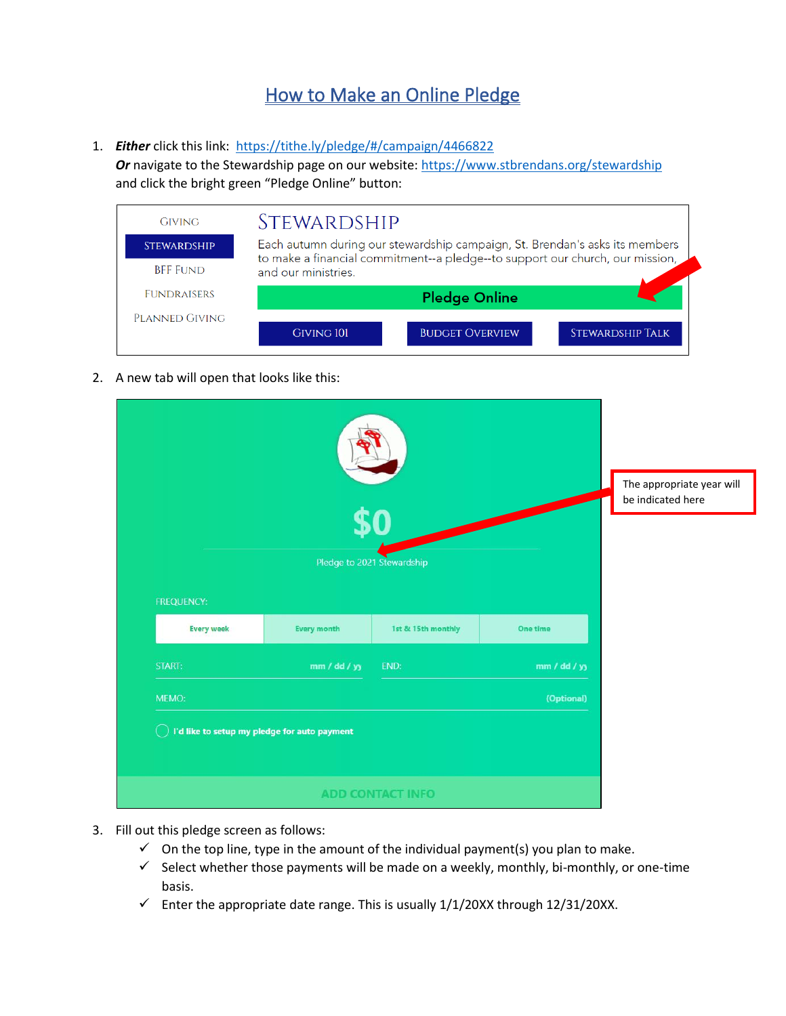## How to Make an Online Pledge

1. **Either** click this link: <https://tithe.ly/pledge/#/campaign/4466822>

Or navigate to the Stewardship page on our website:<https://www.stbrendans.org/stewardship> and click the bright green "Pledge Online" button:

| <b>GIVING</b>      | <i>STEWARDSHIP</i>  |                                                                               |                         |
|--------------------|---------------------|-------------------------------------------------------------------------------|-------------------------|
| <b>STEWARDSHIP</b> |                     | Each autumn during our stewardship campaign, St. Brendan's asks its members   |                         |
| <b>BFF FUND</b>    | and our ministries. | to make a financial commitment--a pledge--to support our church, our mission, |                         |
| <b>FUNDRAISERS</b> |                     | <b>Pledge Online</b>                                                          |                         |
| PLANNED GIVING     |                     |                                                                               |                         |
|                    | <b>GIVING 101</b>   | <b>BUDGET OVERVIEW</b>                                                        | <b>STEWARDSHIP TALK</b> |

2. A new tab will open that looks like this:

| <b>FREQUENCY:</b> |                                              | Pledge to 2021 Stewardship |              | The appropriate year will<br>be indicated here |
|-------------------|----------------------------------------------|----------------------------|--------------|------------------------------------------------|
| <b>Every week</b> | <b>Every month</b>                           | 1st & 15th monthly         | One time     |                                                |
| START:            | mm / dd / yy                                 | END:                       | mm / dd / yy |                                                |
| MEMO:             |                                              |                            | (Optional)   |                                                |
|                   | I'd like to setup my pledge for auto payment |                            |              |                                                |
|                   |                                              | <b>ADD CONTACT INFO</b>    |              |                                                |

- 3. Fill out this pledge screen as follows:
	- $\checkmark$  On the top line, type in the amount of the individual payment(s) you plan to make.
	- $\checkmark$  Select whether those payments will be made on a weekly, monthly, bi-monthly, or one-time basis.
	- $\checkmark$  Enter the appropriate date range. This is usually 1/1/20XX through 12/31/20XX.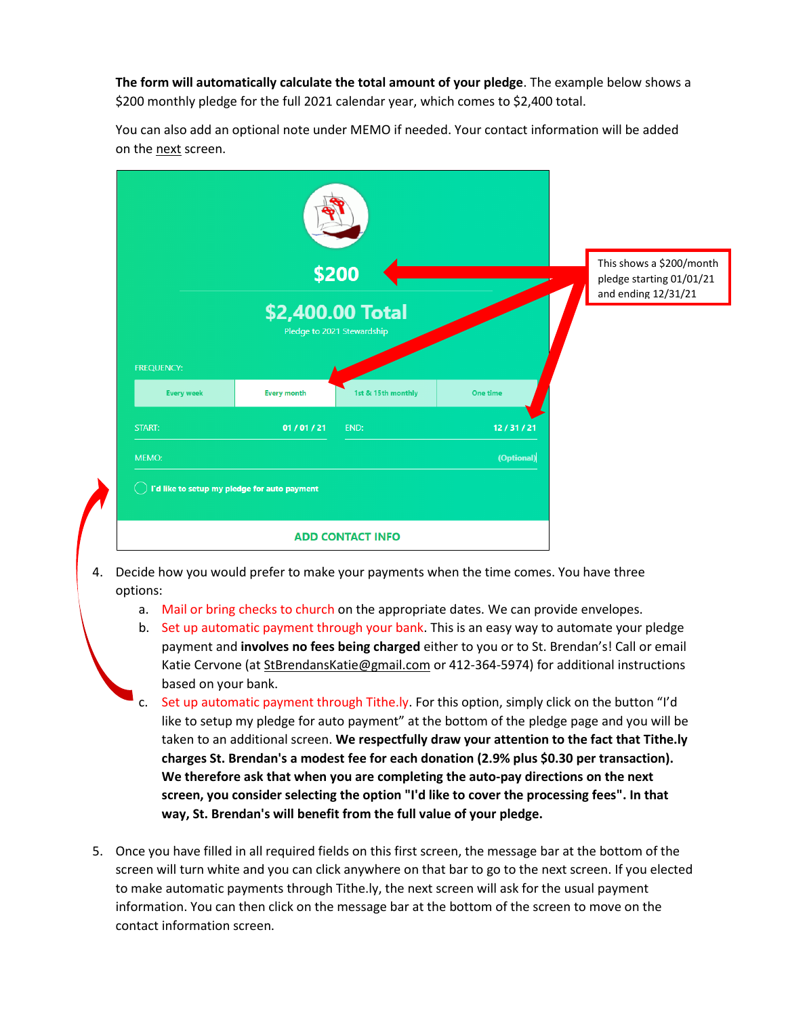**The form will automatically calculate the total amount of your pledge**. The example below shows a \$200 monthly pledge for the full 2021 calendar year, which comes to \$2,400 total.

You can also add an optional note under MEMO if needed. Your contact information will be added on the next screen.

|                   |                                              | \$200<br>\$2,400.00 Total<br>Pledge to 2021 Stewardship |            | This shows a \$200/month<br>pledge starting 01/01/21<br>and ending 12/31/21 |
|-------------------|----------------------------------------------|---------------------------------------------------------|------------|-----------------------------------------------------------------------------|
| <b>FREQUENCY:</b> |                                              |                                                         |            |                                                                             |
| <b>Every week</b> | <b>Every month</b>                           | 1st & 15th monthly                                      | One time   |                                                                             |
| START:            | 01/01/21                                     | END:                                                    | 12/31/21   |                                                                             |
| MEMO:             |                                              |                                                         | (Optional) |                                                                             |
|                   | I'd like to setup my pledge for auto payment |                                                         |            |                                                                             |
|                   |                                              | <b>ADD CONTACT INFO</b>                                 |            |                                                                             |

- 4. Decide how you would prefer to make your payments when the time comes. You have three options:
	- a. Mail or bring checks to church on the appropriate dates. We can provide envelopes.
	- b. Set up automatic payment through your bank. This is an easy way to automate your pledge payment and **involves no fees being charged** either to you or to St. Brendan's! Call or email Katie Cervone (a[t StBrendansKatie@gmail.com](mailto:StBrendansKatie@gmail.com) or 412-364-5974) for additional instructions based on your bank.
	- c. Set up automatic payment through Tithe.ly. For this option, simply click on the button "I'd like to setup my pledge for auto payment" at the bottom of the pledge page and you will be taken to an additional screen. **We respectfully draw your attention to the fact that Tithe.ly charges St. Brendan's a modest fee for each donation (2.9% plus \$0.30 per transaction). We therefore ask that when you are completing the auto-pay directions on the next screen, you consider selecting the option "I'd like to cover the processing fees". In that way, St. Brendan's will benefit from the full value of your pledge.**
- 5. Once you have filled in all required fields on this first screen, the message bar at the bottom of the screen will turn white and you can click anywhere on that bar to go to the next screen. If you elected to make automatic payments through Tithe.ly, the next screen will ask for the usual payment information. You can then click on the message bar at the bottom of the screen to move on the contact information screen.